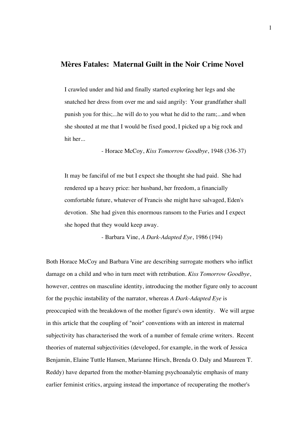# **Mères Fatales: Maternal Guilt in the Noir Crime Novel**

I crawled under and hid and finally started exploring her legs and she snatched her dress from over me and said angrily: Your grandfather shall punish you for this;...he will do to you what he did to the ram;...and when she shouted at me that I would be fixed good, I picked up a big rock and hit her...

- Horace McCoy, *Kiss Tomorrow Goodbye*, 1948 (336-37)

It may be fanciful of me but I expect she thought she had paid. She had rendered up a heavy price: her husband, her freedom, a financially comfortable future, whatever of Francis she might have salvaged, Eden's devotion. She had given this enormous ransom to the Furies and I expect she hoped that they would keep away.

- Barbara Vine, *A Dark-Adapted Eye*, 1986 (194)

Both Horace McCoy and Barbara Vine are describing surrogate mothers who inflict damage on a child and who in turn meet with retribution. *Kiss Tomorrow Goodbye*, however, centres on masculine identity, introducing the mother figure only to account for the psychic instability of the narrator, whereas *A Dark-Adapted Eye* is preoccupied with the breakdown of the mother figure's own identity. We will argue in this article that the coupling of "noir" conventions with an interest in maternal subjectivity has characterised the work of a number of female crime writers. Recent theories of maternal subjectivities (developed, for example, in the work of Jessica Benjamin, Elaine Tuttle Hansen, Marianne Hirsch, Brenda O. Daly and Maureen T. Reddy) have departed from the mother-blaming psychoanalytic emphasis of many earlier feminist critics, arguing instead the importance of recuperating the mother's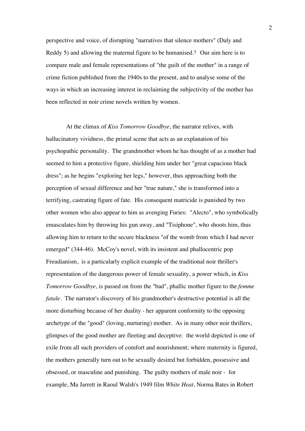perspective and voice, of disrupting "narratives that silence mothers" (Daly and Reddy 5) and allowing the maternal figure to be humanised.<sup>1</sup> Our aim here is to compare male and female representations of "the guilt of the mother" in a range of crime fiction published from the 1940s to the present, and to analyse some of the ways in which an increasing interest in reclaiming the subjectivity of the mother has been reflected in noir crime novels written by women.

 At the climax of *Kiss Tomorrow Goodbye*, the narrator relives, with hallucinatory vividness, the primal scene that acts as an explanation of his psychopathic personality. The grandmother whom he has thought of as a mother had seemed to him a protective figure, shielding him under her "great capacious black dress"; as he begins "exploring her legs," however, thus approaching both the perception of sexual difference and her "true nature," she is transformed into a terrifying, castrating figure of fate. His consequent matricide is punished by two other women who also appear to him as avenging Furies: "Alecto", who symbolically emasculates him by throwing his gun away, and "Tisiphone", who shoots him, thus allowing him to return to the secure blackness "of the womb from which I had never emerged" (344-46). McCoy's novel, with its insistent and phallocentric pop Freudianism, is a particularly explicit example of the traditional noir thriller's representation of the dangerous power of female sexuality, a power which, in *Kiss Tomorrow Goodbye*, is passed on from the "bad", phallic mother figure to the *femme fatale*. The narrator's discovery of his grandmother's destructive potential is all the more disturbing because of her duality - her apparent conformity to the opposing archetype of the "good" (loving, nurturing) mother. As in many other noir thrillers, glimpses of the good mother are fleeting and deceptive: the world depicted is one of exile from all such providers of comfort and nourishment; where maternity is figured, the mothers generally turn out to be sexually desired but forbidden, possessive and obsessed, or masculine and punishing. The guilty mothers of male noir - for example, Ma Jarrett in Raoul Walsh's 1949 film *White Heat*, Norma Bates in Robert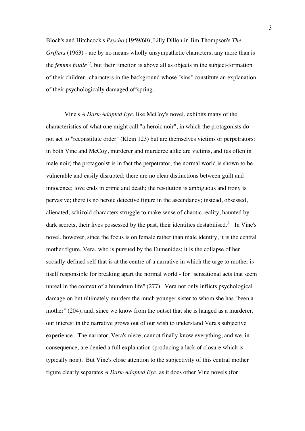Bloch's and Hitchcock's *Psycho* (1959/60), Lilly Dillon in Jim Thompson's *The Grifters* (1963) - are by no means wholly unsympathetic characters, any more than is the *femme fatale* 2, but their function is above all as objects in the subject-formation of their children, characters in the background whose "sins" constitute an explanation of their psychologically damaged offspring.

Vine's *A Dark-Adapted Eye*, like McCoy's novel, exhibits many of the characteristics of what one might call "a-heroic noir", in which the protagonists do not act to "reconstitute order" (Klein 123) but are themselves victims or perpetrators: in both Vine and McCoy, murderer and murderee alike are victims, and (as often in male noir) the protagonist is in fact the perpetrator; the normal world is shown to be vulnerable and easily disrupted; there are no clear distinctions between guilt and innocence; love ends in crime and death; the resolution is ambiguous and irony is pervasive; there is no heroic detective figure in the ascendancy; instead, obsessed, alienated, schizoid characters struggle to make sense of chaotic reality, haunted by dark secrets, their lives possessed by the past, their identities destabilised.<sup>3</sup> In Vine's novel, however, since the focus is on female rather than male identity, it is the central mother figure, Vera, who is pursued by the Eumenides; it is the collapse of her socially-defined self that is at the centre of a narrative in which the urge to mother is itself responsible for breaking apart the normal world - for "sensational acts that seem unreal in the context of a humdrum life" (277). Vera not only inflicts psychological damage on but ultimately murders the much younger sister to whom she has "been a mother" (204), and, since we know from the outset that she is hanged as a murderer, our interest in the narrative grows out of our wish to understand Vera's subjective experience. The narrator, Vera's niece, cannot finally know everything, and we, in consequence, are denied a full explanation (producing a lack of closure which is typically noir). But Vine's close attention to the subjectivity of this central mother figure clearly separates *A Dark-Adapted Eye*, as it does other Vine novels (for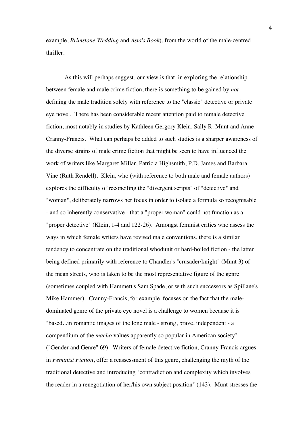example, *Brimstone Wedding* and *Asta's Book*), from the world of the male-centred thriller.

As this will perhaps suggest, our view is that, in exploring the relationship between female and male crime fiction, there is something to be gained by *not* defining the male tradition solely with reference to the "classic" detective or private eye novel. There has been considerable recent attention paid to female detective fiction, most notably in studies by Kathleen Gergory Klein, Sally R. Munt and Anne Cranny-Francis. What can perhaps be added to such studies is a sharper awareness of the diverse strains of male crime fiction that might be seen to have influenced the work of writers like Margaret Millar, Patricia Highsmith, P.D. James and Barbara Vine (Ruth Rendell). Klein, who (with reference to both male and female authors) explores the difficulty of reconciling the "divergent scripts" of "detective" and "woman", deliberately narrows her focus in order to isolate a formula so recognisable - and so inherently conservative - that a "proper woman" could not function as a "proper detective" (Klein, 1-4 and 122-26). Amongst feminist critics who assess the ways in which female writers have revised male conventions, there is a similar tendency to concentrate on the traditional whodunit or hard-boiled fiction - the latter being defined primarily with reference to Chandler's "crusader/knight" (Munt 3) of the mean streets, who is taken to be the most representative figure of the genre (sometimes coupled with Hammett's Sam Spade, or with such successors as Spillane's Mike Hammer). Cranny-Francis, for example, focuses on the fact that the maledominated genre of the private eye novel is a challenge to women because it is "based...in romantic images of the lone male - strong, brave, independent - a compendium of the *macho* values apparently so popular in American society" ("Gender and Genre" 69). Writers of female detective fiction, Cranny-Francis argues in *Feminist Fiction*, offer a reassessment of this genre, challenging the myth of the traditional detective and introducing "contradiction and complexity which involves the reader in a renegotiation of her/his own subject position" (143). Munt stresses the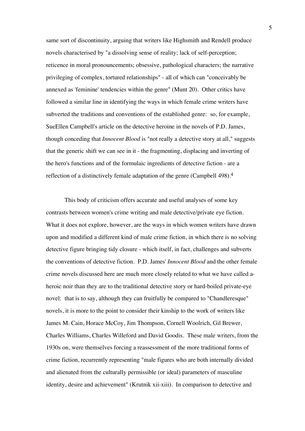same sort of discontinuity, arguing that writers like Highsmith and Rendell produce novels characterised by "a dissolving sense of reality; lack of self-perception; reticence in moral pronouncements; obsessive, pathological characters; the narrative privileging of complex, tortured relationships" - all of which can "conceivably be annexed as 'feminine' tendencies within the genre" (Munt 20). Other critics have followed a similar line in identifying the ways in which female crime writers have subverted the traditions and conventions of the established genre: so, for example, SueEllen Campbell's article on the detective heroine in the novels of P.D. James, though conceding that *Innocent Blood* is "not really a detective story at all," suggests that the generic shift we can see in it - the fragmenting, displacing and inverting of the hero's functions and of the formulaic ingredients of detective fiction - are a reflection of a distinctively female adaptation of the genre (Campbell 498).4

This body of criticism offers accurate and useful analyses of some key contrasts between women's crime writing and male detective/private eye fiction. What it does not explore, however, are the ways in which women writers have drawn upon and modified a different kind of male crime fiction, in which there is no solving detective figure bringing tidy closure - which itself, in fact, challenges and subverts the conventions of detective fiction. P.D. James' *Innocent Blood* and the other female crime novels discussed here are much more closely related to what we have called aheroic noir than they are to the traditional detective story or hard-boiled private-eye novel: that is to say, although they can fruitfully be compared to "Chandleresque" novels, it is more to the point to consider their kinship to the work of writers like James M. Cain, Horace McCoy, Jim Thompson, Cornell Woolrich, Gil Brewer, Charles Williams, Charles Willeford and David Goodis. These male writers, from the 1930s on, were themselves forcing a reassessment of the more traditional forms of crime fiction, recurrently representing "male figures who are both internally divided and alienated from the culturally permissible (or ideal) parameters of masculine identity, desire and achievement" (Krutnik xii-xiii). In comparison to detective and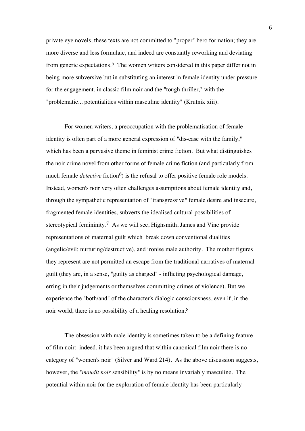private eye novels, these texts are not committed to "proper" hero formation; they are more diverse and less formulaic, and indeed are constantly reworking and deviating from generic expectations.5 The women writers considered in this paper differ not in being more subversive but in substituting an interest in female identity under pressure for the engagement, in classic film noir and the "tough thriller," with the "problematic... potentialities within masculine identity" (Krutnik xiii).

For women writers, a preoccupation with the problematisation of female identity is often part of a more general expression of "dis-ease with the family," which has been a pervasive theme in feminist crime fiction. But what distinguishes the noir crime novel from other forms of female crime fiction (and particularly from much female *detective* fiction<sup>6</sup>) is the refusal to offer positive female role models. Instead, women's noir very often challenges assumptions about female identity and, through the sympathetic representation of "transgressive" female desire and insecure, fragmented female identities, subverts the idealised cultural possibilities of stereotypical femininity.7 As we will see, Highsmith, James and Vine provide representations of maternal guilt which break down conventional dualities (angelic/evil; nurturing/destructive), and ironise male authority. The mother figures they represent are not permitted an escape from the traditional narratives of maternal guilt (they are, in a sense, "guilty as charged" - inflicting psychological damage, erring in their judgements or themselves committing crimes of violence). But we experience the "both/and" of the character's dialogic consciousness, even if, in the noir world, there is no possibility of a healing resolution.8

The obsession with male identity is sometimes taken to be a defining feature of film noir: indeed, it has been argued that within canonical film noir there is no category of "women's noir" (Silver and Ward 214). As the above discussion suggests, however, the "*maudit noir* sensibility" is by no means invariably masculine. The potential within noir for the exploration of female identity has been particularly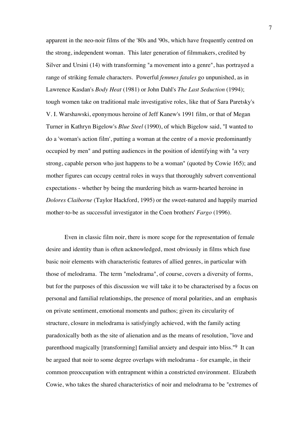apparent in the neo-noir films of the '80s and '90s, which have frequently centred on the strong, independent woman. This later generation of filmmakers, credited by Silver and Ursini (14) with transforming "a movement into a genre", has portrayed a range of striking female characters. Powerful *femmes fatales* go unpunished, as in Lawrence Kasdan's *Body Heat* (1981) or John Dahl's *The Last Seduction* (1994); tough women take on traditional male investigative roles, like that of Sara Paretsky's V. I. Warshawski, eponymous heroine of Jeff Kanew's 1991 film, or that of Megan Turner in Kathryn Bigelow's *Blue Steel* (1990), of which Bigelow said, "I wanted to do a 'woman's action film', putting a woman at the centre of a movie predominantly occupied by men" and putting audiences in the position of identifying with "a very strong, capable person who just happens to be a woman" (quoted by Cowie 165); and mother figures can occupy central roles in ways that thoroughly subvert conventional expectations - whether by being the murdering bitch as warm-hearted heroine in *Dolores Claiborne* (Taylor Hackford, 1995) or the sweet-natured and happily married mother-to-be as successful investigator in the Coen brothers' *Fargo* (1996).

Even in classic film noir, there is more scope for the representation of female desire and identity than is often acknowledged, most obviously in films which fuse basic noir elements with characteristic features of allied genres, in particular with those of melodrama. The term "melodrama", of course, covers a diversity of forms, but for the purposes of this discussion we will take it to be characterised by a focus on personal and familial relationships, the presence of moral polarities, and an emphasis on private sentiment, emotional moments and pathos; given its circularity of structure, closure in melodrama is satisfyingly achieved, with the family acting paradoxically both as the site of alienation and as the means of resolution, "love and parenthood magically [transforming] familial anxiety and despair into bliss."9 It can be argued that noir to some degree overlaps with melodrama - for example, in their common preoccupation with entrapment within a constricted environment. Elizabeth Cowie, who takes the shared characteristics of noir and melodrama to be "extremes of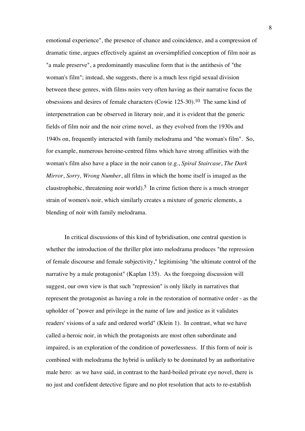emotional experience", the presence of chance and coincidence, and a compression of dramatic time, argues effectively against an oversimplified conception of film noir as "a male preserve", a predominantly masculine form that is the antithesis of "the woman's film"; instead, she suggests, there is a much less rigid sexual division between these genres, with films noirs very often having as their narrative focus the obsessions and desires of female characters (Cowie 125-30).10 The same kind of interpenetration can be observed in literary noir, and it is evident that the generic fields of film noir and the noir crime novel, as they evolved from the 1930s and 1940s on, frequently interacted with family melodrama and "the woman's film". So, for example, numerous heroine-centred films which have strong affinities with the woman's film also have a place in the noir canon (e.g., *Spiral Staircase*, *The Dark Mirror*, *Sorry, Wrong Number*, all films in which the home itself is imaged as the claustrophobic, threatening noir world).<sup>5</sup> In crime fiction there is a much stronger strain of women's noir, which similarly creates a mixture of generic elements, a blending of noir with family melodrama.

In critical discussions of this kind of hybridisation, one central question is whether the introduction of the thriller plot into melodrama produces "the repression of female discourse and female subjectivity," legitimising "the ultimate control of the narrative by a male protagonist" (Kaplan 135). As the foregoing discussion will suggest, our own view is that such "repression" is only likely in narratives that represent the protagonist as having a role in the restoration of normative order - as the upholder of "power and privilege in the name of law and justice as it validates readers' visions of a safe and ordered world" (Klein 1). In contrast, what we have called a-heroic noir, in which the protagonists are most often subordinate and impaired, is an exploration of the condition of powerlessness. If this form of noir is combined with melodrama the hybrid is unlikely to be dominated by an authoritative male hero: as we have said, in contrast to the hard-boiled private eye novel, there is no just and confident detective figure and no plot resolution that acts to re-establish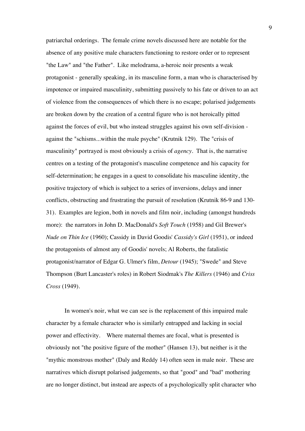patriarchal orderings. The female crime novels discussed here are notable for the absence of any positive male characters functioning to restore order or to represent "the Law" and "the Father". Like melodrama, a-heroic noir presents a weak protagonist - generally speaking, in its masculine form, a man who is characterised by impotence or impaired masculinity, submitting passively to his fate or driven to an act of violence from the consequences of which there is no escape; polarised judgements are broken down by the creation of a central figure who is not heroically pitted against the forces of evil, but who instead struggles against his own self-division against the "schisms...within the male psyche" (Krutnik 129). The "crisis of masculinity" portrayed is most obviously a crisis of *agency*. That is, the narrative centres on a testing of the protagonist's masculine competence and his capacity for self-determination; he engages in a quest to consolidate his masculine identity, the positive trajectory of which is subject to a series of inversions, delays and inner conflicts, obstructing and frustrating the pursuit of resolution (Krutnik 86-9 and 130- 31). Examples are legion, both in novels and film noir, including (amongst hundreds more): the narrators in John D. MacDonald's *Soft Touch* (1958) and Gil Brewer's *Nude on Thin Ice* (1960); Cassidy in David Goodis' *Cassidy's Girl* (1951), or indeed the protagonists of almost any of Goodis' novels; Al Roberts, the fatalistic protagonist/narrator of Edgar G. Ulmer's film, *Detour* (1945); "Swede" and Steve Thompson (Burt Lancaster's roles) in Robert Siodmak's *The Killers* (1946) and *Criss Cross* (1949).

In women's noir, what we can see is the replacement of this impaired male character by a female character who is similarly entrapped and lacking in social power and effectivity. Where maternal themes are focal, what is presented is obviously not "the positive figure of the mother" (Hansen 13), but neither is it the "mythic monstrous mother" (Daly and Reddy 14) often seen in male noir. These are narratives which disrupt polarised judgements, so that "good" and "bad" mothering are no longer distinct, but instead are aspects of a psychologically split character who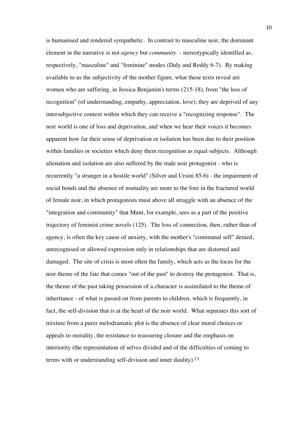is humanised and rendered sympathetic. In contrast to masculine noir, the dominant element in the narrative is not *agency* but *community* - stereotypically identified as, respectively, "masculine" and "feminine" modes (Daly and Reddy 6-7). By making available to us the subjectivity of the mother figure, what these texts reveal are women who are suffering, in Jessica Benjamin's terms (215-18), from "the loss of recognition" (of understanding, empathy, appreciation, love); they are deprived of any intersubjective context within which they can receive a "recognizing response". The noir world is one of loss and deprivation, and when we hear their voices it becomes apparent how far their sense of deprivation or isolation has been due to their position within families or societies which deny them recognition as equal subjects. Although alienation and isolation are also suffered by the male noir protagonist - who is recurrently "a stranger in a hostile world" (Silver and Ursini 85-6) - the impairment of social bonds and the absence of mutuality are more to the fore in the fractured world of female noir, in which protagonists must above all struggle with an absence of the "integration and community" that Munt, for example, sees as a part of the positive trajectory of feminist crime novels (125). The loss of connection, then, rather than of agency, is often the key cause of anxiety, with the mother's "communal self" denied, unrecognised or allowed expression only in relationships that are distorted and damaged. The site of crisis is most often the family, which acts as the locus for the noir theme of the fate that comes "out of the past" to destroy the protagonist. That is, the theme of the past taking possession of a character is assimilated to the theme of inheritance - of what is passed on from parents to children, which is frequently, in fact, the self-division that is at the heart of the noir world. What separates this sort of mixture from a purer melodramatic plot is the absence of clear moral choices or appeals to morality, the resistance to reassuring closure and the emphasis on interiority (the representation of selves divided and of the difficulties of coming to terms with or understanding self-division and inner duality).<sup>11</sup>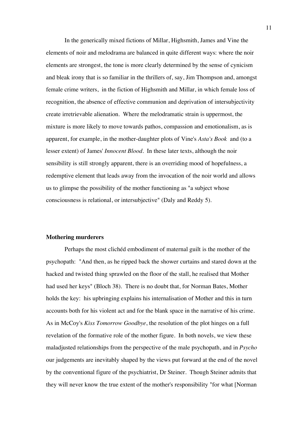In the generically mixed fictions of Millar, Highsmith, James and Vine the elements of noir and melodrama are balanced in quite different ways: where the noir elements are strongest, the tone is more clearly determined by the sense of cynicism and bleak irony that is so familiar in the thrillers of, say, Jim Thompson and, amongst female crime writers, in the fiction of Highsmith and Millar, in which female loss of recognition, the absence of effective communion and deprivation of intersubjectivity create irretrievable alienation. Where the melodramatic strain is uppermost, the mixture is more likely to move towards pathos, compassion and emotionalism, as is apparent, for example, in the mother-daughter plots of Vine's *Asta's Book* and (to a lesser extent) of James' *Innocent Blood*. In these later texts, although the noir sensibility is still strongly apparent, there is an overriding mood of hopefulness, a redemptive element that leads away from the invocation of the noir world and allows us to glimpse the possibility of the mother functioning as "a subject whose consciousness is relational, or intersubjective" (Daly and Reddy 5).

#### **Mothering murderers**

Perhaps the most clichéd embodiment of maternal guilt is the mother of the psychopath: "And then, as he ripped back the shower curtains and stared down at the hacked and twisted thing sprawled on the floor of the stall, he realised that Mother had used her keys" (Bloch 38). There is no doubt that, for Norman Bates, Mother holds the key: his upbringing explains his internalisation of Mother and this in turn accounts both for his violent act and for the blank space in the narrative of his crime. As in McCoy's *Kiss Tomorrow Goodbye*, the resolution of the plot hinges on a full revelation of the formative role of the mother figure. In both novels, we view these maladjusted relationships from the perspective of the male psychopath, and in *Psycho* our judgements are inevitably shaped by the views put forward at the end of the novel by the conventional figure of the psychiatrist, Dr Steiner. Though Steiner admits that they will never know the true extent of the mother's responsibility "for what [Norman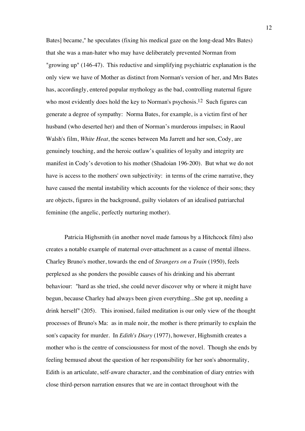Bates] became," he speculates (fixing his medical gaze on the long-dead Mrs Bates) that she was a man-hater who may have deliberately prevented Norman from "growing up" (146-47). This reductive and simplifying psychiatric explanation is the only view we have of Mother as distinct from Norman's version of her, and Mrs Bates has, accordingly, entered popular mythology as the bad, controlling maternal figure who most evidently does hold the key to Norman's psychosis.<sup>12</sup> Such figures can generate a degree of sympathy: Norma Bates, for example, is a victim first of her husband (who deserted her) and then of Norman's murderous impulses; in Raoul Walsh's film, *White Heat*, the scenes between Ma Jarrett and her son, Cody, are genuinely touching, and the heroic outlaw's qualities of loyalty and integrity are manifest in Cody's devotion to his mother (Shadoian 196-200). But what we do not have is access to the mothers' own subjectivity: in terms of the crime narrative, they have caused the mental instability which accounts for the violence of their sons; they are objects, figures in the background, guilty violators of an idealised patriarchal feminine (the angelic, perfectly nurturing mother).

Patricia Highsmith (in another novel made famous by a Hitchcock film) also creates a notable example of maternal over-attachment as a cause of mental illness. Charley Bruno's mother, towards the end of *Strangers on a Train* (1950), feels perplexed as she ponders the possible causes of his drinking and his aberrant behaviour: "hard as she tried, she could never discover why or where it might have begun, because Charley had always been given everything...She got up, needing a drink herself" (205). This ironised, failed meditation is our only view of the thought processes of Bruno's Ma: as in male noir, the mother is there primarily to explain the son's capacity for murder. In *Edith's Diary* (1977), however, Highsmith creates a mother who is the centre of consciousness for most of the novel. Though she ends by feeling bemused about the question of her responsibility for her son's abnormality, Edith is an articulate, self-aware character, and the combination of diary entries with close third-person narration ensures that we are in contact throughout with the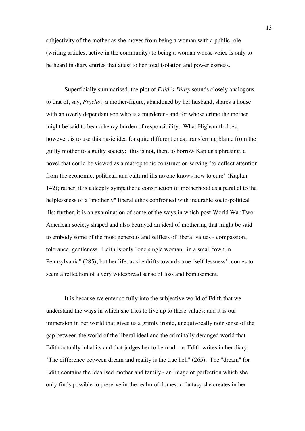subjectivity of the mother as she moves from being a woman with a public role (writing articles, active in the community) to being a woman whose voice is only to be heard in diary entries that attest to her total isolation and powerlessness.

Superficially summarised, the plot of *Edith's Diary* sounds closely analogous to that of, say, *Psycho*: a mother-figure, abandoned by her husband, shares a house with an overly dependant son who is a murderer - and for whose crime the mother might be said to bear a heavy burden of responsibility. What Highsmith does, however, is to use this basic idea for quite different ends, transferring blame from the guilty mother to a guilty society: this is not, then, to borrow Kaplan's phrasing, a novel that could be viewed as a matrophobic construction serving "to deflect attention from the economic, political, and cultural ills no one knows how to cure" (Kaplan 142); rather, it is a deeply sympathetic construction of motherhood as a parallel to the helplessness of a "motherly" liberal ethos confronted with incurable socio-political ills; further, it is an examination of some of the ways in which post-World War Two American society shaped and also betrayed an ideal of mothering that might be said to embody some of the most generous and selfless of liberal values - compassion, tolerance, gentleness. Edith is only "one single woman...in a small town in Pennsylvania" (285), but her life, as she drifts towards true "self-lessness", comes to seem a reflection of a very widespread sense of loss and bemusement.

It is because we enter so fully into the subjective world of Edith that we understand the ways in which she tries to live up to these values; and it is our immersion in her world that gives us a grimly ironic, unequivocally noir sense of the gap between the world of the liberal ideal and the criminally deranged world that Edith actually inhabits and that judges her to be mad - as Edith writes in her diary, "The difference between dream and reality is the true hell" (265). The "dream" for Edith contains the idealised mother and family - an image of perfection which she only finds possible to preserve in the realm of domestic fantasy she creates in her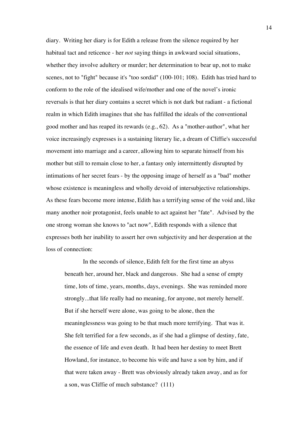diary. Writing her diary is for Edith a release from the silence required by her habitual tact and reticence - her *not* saying things in awkward social situations, whether they involve adultery or murder; her determination to bear up, not to make scenes, not to "fight" because it's "too sordid" (100-101; 108). Edith has tried hard to conform to the role of the idealised wife/mother and one of the novel's ironic reversals is that her diary contains a secret which is not dark but radiant - a fictional realm in which Edith imagines that she has fulfilled the ideals of the conventional good mother and has reaped its rewards (e.g., 62). As a "mother-author", what her voice increasingly expresses is a sustaining literary lie, a dream of Cliffie's successful movement into marriage and a career, allowing him to separate himself from his mother but still to remain close to her, a fantasy only intermittently disrupted by intimations of her secret fears - by the opposing image of herself as a "bad" mother whose existence is meaningless and wholly devoid of intersubjective relationships. As these fears become more intense, Edith has a terrifying sense of the void and, like many another noir protagonist, feels unable to act against her "fate". Advised by the one strong woman she knows to "act now", Edith responds with a silence that expresses both her inability to assert her own subjectivity and her desperation at the loss of connection:

In the seconds of silence, Edith felt for the first time an abyss beneath her, around her, black and dangerous. She had a sense of empty time, lots of time, years, months, days, evenings. She was reminded more strongly...that life really had no meaning, for anyone, not merely herself. But if she herself were alone, was going to be alone, then the meaninglessness was going to be that much more terrifying. That was it. She felt terrified for a few seconds, as if she had a glimpse of destiny, fate, the essence of life and even death. It had been her destiny to meet Brett Howland, for instance, to become his wife and have a son by him, and if that were taken away - Brett was obviously already taken away, and as for a son, was Cliffie of much substance? (111)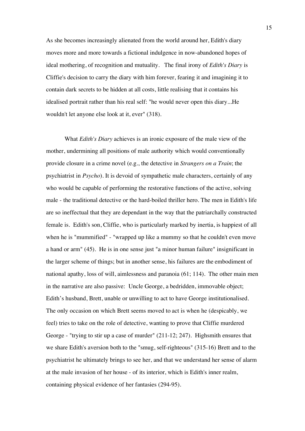As she becomes increasingly alienated from the world around her, Edith's diary moves more and more towards a fictional indulgence in now-abandoned hopes of ideal mothering, of recognition and mutuality. The final irony of *Edith's Diary* is Cliffie's decision to carry the diary with him forever, fearing it and imagining it to contain dark secrets to be hidden at all costs, little realising that it contains his idealised portrait rather than his real self: "he would never open this diary...He wouldn't let anyone else look at it, ever" (318).

What *Edith's Diary* achieves is an ironic exposure of the male view of the mother, undermining all positions of male authority which would conventionally provide closure in a crime novel (e.g., the detective in *Strangers on a Train*; the psychiatrist in *Psycho*). It is devoid of sympathetic male characters, certainly of any who would be capable of performing the restorative functions of the active, solving male - the traditional detective or the hard-boiled thriller hero. The men in Edith's life are so ineffectual that they are dependant in the way that the patriarchally constructed female is. Edith's son, Cliffie, who is particularly marked by inertia, is happiest of all when he is "mummified" - "wrapped up like a mummy so that he couldn't even move a hand or arm" (45). He is in one sense just "a minor human failure" insignificant in the larger scheme of things; but in another sense, his failures are the embodiment of national apathy, loss of will, aimlessness and paranoia (61; 114). The other main men in the narrative are also passive: Uncle George, a bedridden, immovable object; Edith's husband, Brett, unable or unwilling to act to have George institutionalised. The only occasion on which Brett seems moved to act is when he (despicably, we feel) tries to take on the role of detective, wanting to prove that Cliffie murdered George - "trying to stir up a case of murder" (211-12; 247). Highsmith ensures that we share Edith's aversion both to the "smug, self-righteous" (315-16) Brett and to the psychiatrist he ultimately brings to see her, and that we understand her sense of alarm at the male invasion of her house - of its interior, which is Edith's inner realm, containing physical evidence of her fantasies (294-95).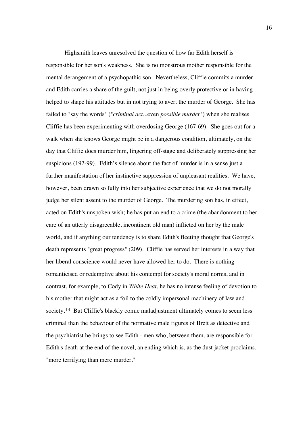Highsmith leaves unresolved the question of how far Edith herself is responsible for her son's weakness. She is no monstrous mother responsible for the mental derangement of a psychopathic son. Nevertheless, Cliffie commits a murder and Edith carries a share of the guilt, not just in being overly protective or in having helped to shape his attitudes but in not trying to avert the murder of George. She has failed to "say the words" ("*criminal act...*even *possible murder*") when she realises Cliffie has been experimenting with overdosing George (167-69). She goes out for a walk when she knows George might be in a dangerous condition, ultimately, on the day that Cliffie does murder him, lingering off-stage and deliberately suppressing her suspicions (192-99). Edith's silence about the fact of murder is in a sense just a further manifestation of her instinctive suppression of unpleasant realities. We have, however, been drawn so fully into her subjective experience that we do not morally judge her silent assent to the murder of George. The murdering son has, in effect, acted on Edith's unspoken wish; he has put an end to a crime (the abandonment to her care of an utterly disagreeable, incontinent old man) inflicted on her by the male world, and if anything our tendency is to share Edith's fleeting thought that George's death represents "great progress" (209). Cliffie has served her interests in a way that her liberal conscience would never have allowed her to do. There is nothing romanticised or redemptive about his contempt for society's moral norms, and in contrast, for example, to Cody in *White Heat*, he has no intense feeling of devotion to his mother that might act as a foil to the coldly impersonal machinery of law and society.<sup>13</sup> But Cliffie's blackly comic maladjustment ultimately comes to seem less criminal than the behaviour of the normative male figures of Brett as detective and the psychiatrist he brings to see Edith - men who, between them, are responsible for Edith's death at the end of the novel, an ending which is, as the dust jacket proclaims, "more terrifying than mere murder."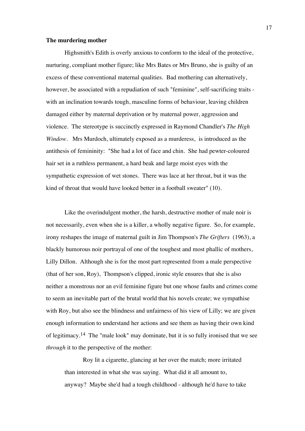#### **The murdering mother**

Highsmith's Edith is overly anxious to conform to the ideal of the protective, nurturing, compliant mother figure; like Mrs Bates or Mrs Bruno, she is guilty of an excess of these conventional maternal qualities. Bad mothering can alternatively, however, be associated with a repudiation of such "feminine", self-sacrificing traits with an inclination towards tough, masculine forms of behaviour, leaving children damaged either by maternal deprivation or by maternal power, aggression and violence. The stereotype is succinctly expressed in Raymond Chandler's *The High Window*. Mrs Murdoch, ultimately exposed as a murderess, is introduced as the antithesis of femininity: "She had a lot of face and chin. She had pewter-coloured hair set in a ruthless permanent, a hard beak and large moist eyes with the sympathetic expression of wet stones. There was lace at her throat, but it was the kind of throat that would have looked better in a football sweater" (10).

Like the overindulgent mother, the harsh, destructive mother of male noir is not necessarily, even when she is a killer, a wholly negative figure. So, for example, irony reshapes the image of maternal guilt in Jim Thompson's *The Grifters* (1963), a blackly humorous noir portrayal of one of the toughest and most phallic of mothers, Lilly Dillon. Although she is for the most part represented from a male perspective (that of her son, Roy), Thompson's clipped, ironic style ensures that she is also neither a monstrous nor an evil feminine figure but one whose faults and crimes come to seem an inevitable part of the brutal world that his novels create; we sympathise with Roy, but also see the blindness and unfairness of his view of Lilly; we are given enough information to understand her actions and see them as having their own kind of legitimacy.14 The "male look" may dominate, but it is so fully ironised that we see *through* it to the perspective of the mother:

Roy lit a cigarette, glancing at her over the match; more irritated than interested in what she was saying. What did it all amount to, anyway? Maybe she'd had a tough childhood - although he'd have to take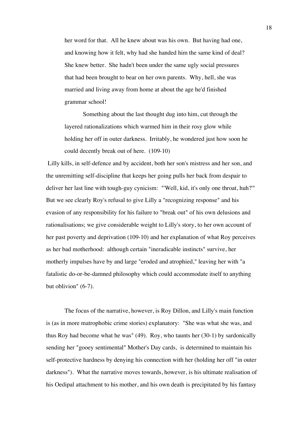her word for that. All he knew about was his own. But having had one, and knowing how it felt, why had she handed him the same kind of deal? She knew better. She hadn't been under the same ugly social pressures that had been brought to bear on her own parents. Why, hell, she was married and living away from home at about the age he'd finished grammar school!

Something about the last thought dug into him, cut through the layered rationalizations which warmed him in their rosy glow while holding her off in outer darkness. Irritably, he wondered just how soon he could decently break out of here. (109-10)

 Lilly kills, in self-defence and by accident, both her son's mistress and her son, and the unremitting self-discipline that keeps her going pulls her back from despair to deliver her last line with tough-guy cynicism: "'Well, kid, it's only one throat, huh?'" But we see clearly Roy's refusal to give Lilly a "recognizing response" and his evasion of any responsibility for his failure to "break out" of his own delusions and rationalisations; we give considerable weight to Lilly's story, to her own account of her past poverty and deprivation (109-10) and her explanation of what Roy perceives as her bad motherhood: although certain "ineradicable instincts" survive, her motherly impulses have by and large "eroded and atrophied," leaving her with "a fatalistic do-or-be-damned philosophy which could accommodate itself to anything but oblivion" (6-7).

The focus of the narrative, however, is Roy Dillon, and Lilly's main function is (as in more matrophobic crime stories) explanatory: "She was what she was, and thus Roy had become what he was" (49). Roy, who taunts her (30-1) by sardonically sending her "gooey sentimental" Mother's Day cards, is determined to maintain his self-protective hardness by denying his connection with her (holding her off "in outer darkness"). What the narrative moves towards, however, is his ultimate realisation of his Oedipal attachment to his mother, and his own death is precipitated by his fantasy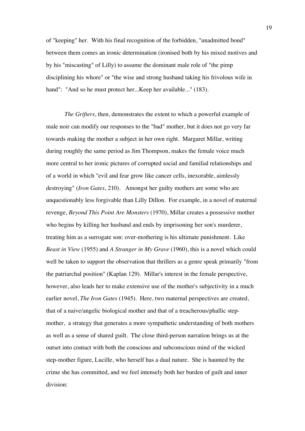of "keeping" her. With his final recognition of the forbidden, "unadmitted bond" between them comes an ironic determination (ironised both by his mixed motives and by his "miscasting" of Lilly) to assume the dominant male role of "the pimp disciplining his whore" or "the wise and strong husband taking his frivolous wife in hand": "And so he must protect her...Keep her available..." (183).

*The Grifters*, then, demonstrates the extent to which a powerful example of male noir can modify our responses to the "bad" mother, but it does not go very far towards making the mother a subject in her own right. Margaret Millar, writing during roughly the same period as Jim Thompson, makes the female voice much more central to her ironic pictures of corrupted social and familial relationships and of a world in which "evil and fear grow like cancer cells, inexorable, aimlessly destroying" (*Iron Gates*, 210). Amongst her guilty mothers are some who are unquestionably less forgivable than Lilly Dillon. For example, in a novel of maternal revenge, *Beyond This Point Are Monsters* (1970), Millar creates a possessive mother who begins by killing her husband and ends by imprisoning her son's murderer, treating him as a surrogate son: over-mothering is his ultimate punishment. Like *Beast in View* (1955) and *A Stranger in My Grave* (1960), this is a novel which could well be taken to support the observation that thrillers as a genre speak primarily "from the patriarchal position" (Kaplan 129). Millar's interest in the female perspective, however, also leads her to make extensive use of the mother's subjectivity in a much earlier novel, *The Iron Gates* (1945). Here, two maternal perspectives are created, that of a naive/angelic biological mother and that of a treacherous/phallic stepmother, a strategy that generates a more sympathetic understanding of both mothers as well as a sense of shared guilt. The close third-person narration brings us at the outset into contact with both the conscious and subconscious mind of the wicked step-mother figure, Lucille, who herself has a dual nature. She is haunted by the crime she has committed, and we feel intensely both her burden of guilt and inner division: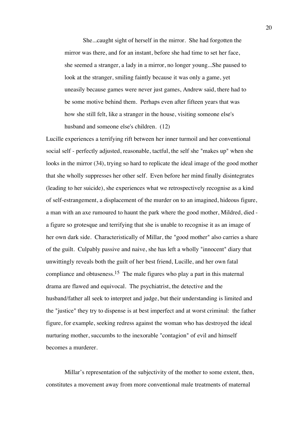She...caught sight of herself in the mirror. She had forgotten the mirror was there, and for an instant, before she had time to set her face, she seemed a stranger, a lady in a mirror, no longer young...She paused to look at the stranger, smiling faintly because it was only a game, yet uneasily because games were never just games, Andrew said, there had to be some motive behind them. Perhaps even after fifteen years that was how she still felt, like a stranger in the house, visiting someone else's husband and someone else's children. (12)

Lucille experiences a terrifying rift between her inner turmoil and her conventional social self - perfectly adjusted, reasonable, tactful, the self she "makes up" when she looks in the mirror (34), trying so hard to replicate the ideal image of the good mother that she wholly suppresses her other self. Even before her mind finally disintegrates (leading to her suicide), she experiences what we retrospectively recognise as a kind of self-estrangement, a displacement of the murder on to an imagined, hideous figure, a man with an axe rumoured to haunt the park where the good mother, Mildred, died a figure so grotesque and terrifying that she is unable to recognise it as an image of her own dark side. Characteristically of Millar, the "good mother" also carries a share of the guilt. Culpably passive and naive, she has left a wholly "innocent" diary that unwittingly reveals both the guilt of her best friend, Lucille, and her own fatal compliance and obtuseness.15 The male figures who play a part in this maternal drama are flawed and equivocal. The psychiatrist, the detective and the husband/father all seek to interpret and judge, but their understanding is limited and the "justice" they try to dispense is at best imperfect and at worst criminal: the father figure, for example, seeking redress against the woman who has destroyed the ideal nurturing mother, succumbs to the inexorable "contagion" of evil and himself becomes a murderer.

Millar's representation of the subjectivity of the mother to some extent, then, constitutes a movement away from more conventional male treatments of maternal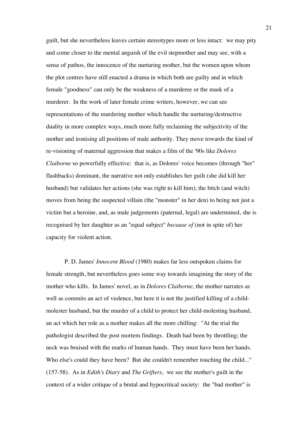guilt, but she nevertheless leaves certain stereotypes more or less intact: we may pity and come closer to the mental anguish of the evil stepmother and may see, with a sense of pathos, the innocence of the nurturing mother, but the women upon whom the plot centres have still enacted a drama in which both are guilty and in which female "goodness" can only be the weakness of a murderee or the mask of a murderer. In the work of later female crime writers, however, we can see representations of the murdering mother which handle the nurturing/destructive duality in more complex ways, much more fully reclaiming the subjectivity of the mother and ironising all positions of male authority. They move towards the kind of re-visioning of maternal aggression that makes a film of the '90s like *Dolores Claiborne* so powerfully effective: that is, as Dolores' voice becomes (through "her" flashbacks) dominant, the narrative not only establishes her guilt (she did kill her husband) but validates her actions (she was right to kill him); the bitch (and witch) moves from being the suspected villain (the "monster" in her den) to being not just a victim but a heroine, and, as male judgements (paternal, legal) are undermined, she is recognised by her daughter as an "equal subject" *because of* (not in spite of) her capacity for violent action.

P. D. James' *Innocent Blood* (1980) makes far less outspoken claims for female strength, but nevertheless goes some way towards imagining the story of the mother who kills. In James' novel, as in *Dolores Claiborne*, the mother narrates as well as commits an act of violence, but here it is not the justified killing of a childmolester husband, but the murder of a child to protect her child-molesting husband, an act which her role as a mother makes all the more chilling: "At the trial the pathologist described the post mortem findings. Death had been by throttling; the neck was bruised with the marks of human hands. They must have been her hands. Who else's could they have been? But she couldn't remember touching the child..." (157-58). As in *Edith's Diary* and *The Grifters*, we see the mother's guilt in the context of a wider critique of a brutal and hypocritical society: the "bad mother" is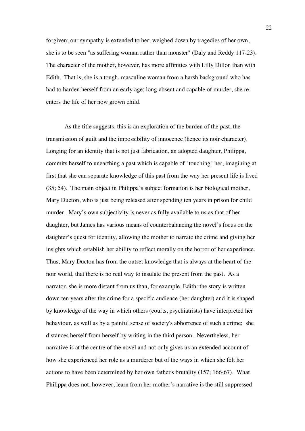forgiven; our sympathy is extended to her; weighed down by tragedies of her own, she is to be seen "as suffering woman rather than monster" (Daly and Reddy 117-23). The character of the mother, however, has more affinities with Lilly Dillon than with Edith. That is, she is a tough, masculine woman from a harsh background who has had to harden herself from an early age; long-absent and capable of murder, she reenters the life of her now grown child.

As the title suggests, this is an exploration of the burden of the past, the transmission of guilt and the impossibility of innocence (hence its noir character). Longing for an identity that is not just fabrication, an adopted daughter, Philippa, commits herself to unearthing a past which is capable of "touching" her, imagining at first that she can separate knowledge of this past from the way her present life is lived (35; 54). The main object in Philippa's subject formation is her biological mother, Mary Ducton, who is just being released after spending ten years in prison for child murder. Mary's own subjectivity is never as fully available to us as that of her daughter, but James has various means of counterbalancing the novel's focus on the daughter's quest for identity, allowing the mother to narrate the crime and giving her insights which establish her ability to reflect morally on the horror of her experience. Thus, Mary Ducton has from the outset knowledge that is always at the heart of the noir world, that there is no real way to insulate the present from the past. As a narrator, she is more distant from us than, for example, Edith: the story is written down ten years after the crime for a specific audience (her daughter) and it is shaped by knowledge of the way in which others (courts, psychiatrists) have interpreted her behaviour, as well as by a painful sense of society's abhorrence of such a crime; she distances herself from herself by writing in the third person. Nevertheless, her narrative is at the centre of the novel and not only gives us an extended account of how she experienced her role as a murderer but of the ways in which she felt her actions to have been determined by her own father's brutality (157; 166-67). What Philippa does not, however, learn from her mother's narrative is the still suppressed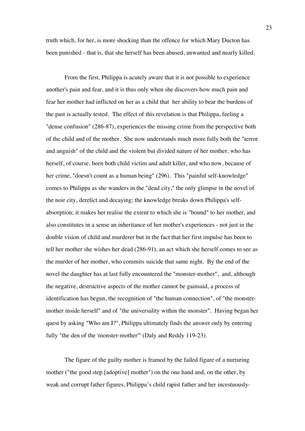truth which, for her, is more shocking than the offence for which Mary Ducton has been punished - that is, that she herself has been abused, unwanted and nearly killed.

From the first, Philippa is acutely aware that it is not possible to experience another's pain and fear, and it is thus only when she discovers how much pain and fear her mother had inflicted on her as a child that her ability to bear the burdens of the past is actually tested. The effect of this revelation is that Philippa, feeling a "dense confusion" (286-87), experiences the missing crime from the perspective both of the child and of the mother. She now understands much more fully both the "terror and anguish" of the child and the violent but divided nature of her mother, who has herself, of course, been both child victim and adult killer, and who now, because of her crime, "doesn't count as a human being" (296). This "painful self-knowledge" comes to Philippa as she wanders in the "dead city," the only glimpse in the novel of the noir city, derelict and decaying; the knowledge breaks down Philippa's selfabsorption; it makes her realise the extent to which she is "bound" to her mother, and also constitutes in a sense an inheritance of her mother's experiences - not just in the double vision of child and murderer but in the fact that her first impulse has been to tell her mother she wishes her dead (286-91), an act which she herself comes to see as the murder of her mother, who commits suicide that same night. By the end of the novel the daughter has at last fully encountered the "monster-mother", and, although the negative, destructive aspects of the mother cannot be gainsaid, a process of identification has begun, the recognition of "the human connection", of "the monstermother inside herself" and of "the universality within the monster". Having began her quest by asking "Who am I?", Philippa ultimately finds the answer only by entering fully "the den of the 'monster-mother'" (Daly and Reddy 119-23).

The figure of the guilty mother is framed by the failed figure of a nurturing mother ("the good step [adoptive] mother") on the one hand and, on the other, by weak and corrupt father figures, Philippa's child rapist father and her incestuously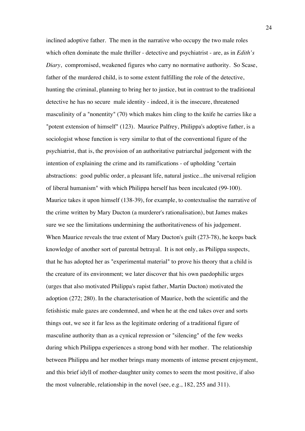inclined adoptive father. The men in the narrative who occupy the two male roles which often dominate the male thriller - detective and psychiatrist - are, as in *Edith's Diary*, compromised, weakened figures who carry no normative authority. So Scase, father of the murdered child, is to some extent fulfilling the role of the detective, hunting the criminal, planning to bring her to justice, but in contrast to the traditional detective he has no secure male identity - indeed, it is the insecure, threatened masculinity of a "nonentity" (70) which makes him cling to the knife he carries like a "potent extension of himself" (123). Maurice Palfrey, Philippa's adoptive father, is a sociologist whose function is very similar to that of the conventional figure of the psychiatrist, that is, the provision of an authoritative patriarchal judgement with the intention of explaining the crime and its ramifications - of upholding "certain abstractions: good public order, a pleasant life, natural justice...the universal religion of liberal humanism" with which Philippa herself has been inculcated (99-100). Maurice takes it upon himself (138-39), for example, to contextualise the narrative of the crime written by Mary Ducton (a murderer's rationalisation), but James makes sure we see the limitations undermining the authoritativeness of his judgement. When Maurice reveals the true extent of Mary Ducton's guilt (273-78), he keeps back knowledge of another sort of parental betrayal. It is not only, as Philippa suspects, that he has adopted her as "experimental material" to prove his theory that a child is the creature of its environment; we later discover that his own paedophilic urges (urges that also motivated Philippa's rapist father, Martin Ducton) motivated the adoption (272; 280). In the characterisation of Maurice, both the scientific and the fetishistic male gazes are condemned, and when he at the end takes over and sorts things out, we see it far less as the legitimate ordering of a traditional figure of masculine authority than as a cynical repression or "silencing" of the few weeks during which Philippa experiences a strong bond with her mother. The relationship between Philippa and her mother brings many moments of intense present enjoyment, and this brief idyll of mother-daughter unity comes to seem the most positive, if also the most vulnerable, relationship in the novel (see, e.g., 182, 255 and 311).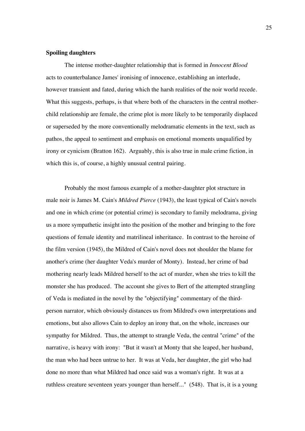## **Spoiling daughters**

The intense mother-daughter relationship that is formed in *Innocent Blood* acts to counterbalance James' ironising of innocence, establishing an interlude, however transient and fated, during which the harsh realities of the noir world recede. What this suggests, perhaps, is that where both of the characters in the central motherchild relationship are female, the crime plot is more likely to be temporarily displaced or superseded by the more conventionally melodramatic elements in the text, such as pathos, the appeal to sentiment and emphasis on emotional moments unqualified by irony or cynicism (Bratton 162). Arguably, this is also true in male crime fiction, in which this is, of course, a highly unusual central pairing.

Probably the most famous example of a mother-daughter plot structure in male noir is James M. Cain's *Mildred Pierce* (1943), the least typical of Cain's novels and one in which crime (or potential crime) is secondary to family melodrama, giving us a more sympathetic insight into the position of the mother and bringing to the fore questions of female identity and matrilineal inheritance. In contrast to the heroine of the film version (1945), the Mildred of Cain's novel does not shoulder the blame for another's crime (her daughter Veda's murder of Monty). Instead, her crime of bad mothering nearly leads Mildred herself to the act of murder, when she tries to kill the monster she has produced. The account she gives to Bert of the attempted strangling of Veda is mediated in the novel by the "objectifying" commentary of the thirdperson narrator, which obviously distances us from Mildred's own interpretations and emotions, but also allows Cain to deploy an irony that, on the whole, increases our sympathy for Mildred. Thus, the attempt to strangle Veda, the central "crime" of the narrative, is heavy with irony: "But it wasn't at Monty that she leaped, her husband, the man who had been untrue to her. It was at Veda, her daughter, the girl who had done no more than what Mildred had once said was a woman's right. It was at a ruthless creature seventeen years younger than herself..." (548). That is, it is a young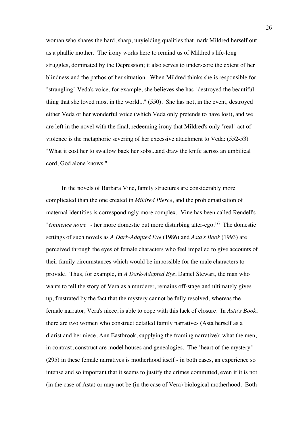woman who shares the hard, sharp, unyielding qualities that mark Mildred herself out as a phallic mother. The irony works here to remind us of Mildred's life-long struggles, dominated by the Depression; it also serves to underscore the extent of her blindness and the pathos of her situation. When Mildred thinks she is responsible for "strangling" Veda's voice, for example, she believes she has "destroyed the beautiful thing that she loved most in the world..." (550). She has not, in the event, destroyed either Veda or her wonderful voice (which Veda only pretends to have lost), and we are left in the novel with the final, redeeming irony that Mildred's only "real" act of violence is the metaphoric severing of her excessive attachment to Veda: (552-53) "What it cost her to swallow back her sobs...and draw the knife across an umbilical cord, God alone knows."

 In the novels of Barbara Vine, family structures are considerably more complicated than the one created in *Mildred Pierce*, and the problematisation of maternal identities is correspondingly more complex. Vine has been called Rendell's "*éminence noire*" - her more domestic but more disturbing alter-ego.16 The domestic settings of such novels as *A Dark-Adapted Eye* (1986) and *Asta's Book* (1993) are perceived through the eyes of female characters who feel impelled to give accounts of their family circumstances which would be impossible for the male characters to provide. Thus, for example, in *A Dark-Adapted Eye*, Daniel Stewart, the man who wants to tell the story of Vera as a murderer, remains off-stage and ultimately gives up, frustrated by the fact that the mystery cannot be fully resolved, whereas the female narrator, Vera's niece, is able to cope with this lack of closure. In *Asta's Book*, there are two women who construct detailed family narratives (Asta herself as a diarist and her niece, Ann Eastbrook, supplying the framing narrative); what the men, in contrast, construct are model houses and genealogies. The "heart of the mystery" (295) in these female narratives is motherhood itself - in both cases, an experience so intense and so important that it seems to justify the crimes committed, even if it is not (in the case of Asta) or may not be (in the case of Vera) biological motherhood. Both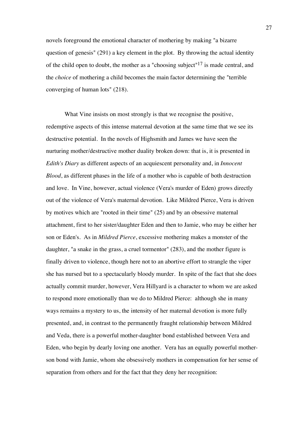novels foreground the emotional character of mothering by making "a bizarre question of genesis" (291) a key element in the plot. By throwing the actual identity of the child open to doubt, the mother as a "choosing subject"17 is made central, and the *choice* of mothering a child becomes the main factor determining the "terrible converging of human lots" (218).

What Vine insists on most strongly is that we recognise the positive, redemptive aspects of this intense maternal devotion at the same time that we see its destructive potential. In the novels of Highsmith and James we have seen the nurturing mother/destructive mother duality broken down: that is, it is presented in *Edith's Diary* as different aspects of an acquiescent personality and, in *Innocent Blood*, as different phases in the life of a mother who is capable of both destruction and love. In Vine, however, actual violence (Vera's murder of Eden) grows directly out of the violence of Vera's maternal devotion. Like Mildred Pierce, Vera is driven by motives which are "rooted in their time" (25) and by an obsessive maternal attachment, first to her sister/daughter Eden and then to Jamie, who may be either her son or Eden's. As in *Mildred Pierce*, excessive mothering makes a monster of the daughter, "a snake in the grass, a cruel tormentor" (283), and the mother figure is finally driven to violence, though here not to an abortive effort to strangle the viper she has nursed but to a spectacularly bloody murder. In spite of the fact that she does actually commit murder, however, Vera Hillyard is a character to whom we are asked to respond more emotionally than we do to Mildred Pierce: although she in many ways remains a mystery to us, the intensity of her maternal devotion is more fully presented, and, in contrast to the permanently fraught relationship between Mildred and Veda, there is a powerful mother-daughter bond established between Vera and Eden, who begin by dearly loving one another. Vera has an equally powerful motherson bond with Jamie, whom she obsessively mothers in compensation for her sense of separation from others and for the fact that they deny her recognition: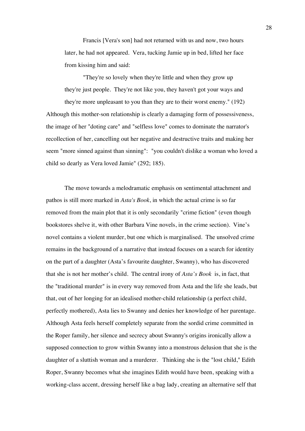Francis [Vera's son] had not returned with us and now, two hours later, he had not appeared. Vera, tucking Jamie up in bed, lifted her face from kissing him and said:

"They're so lovely when they're little and when they grow up they're just people. They're not like you, they haven't got your ways and they're more unpleasant to you than they are to their worst enemy." (192) Although this mother-son relationship is clearly a damaging form of possessiveness, the image of her "doting care" and "selfless love" comes to dominate the narrator's recollection of her, cancelling out her negative and destructive traits and making her seem "more sinned against than sinning": "you couldn't dislike a woman who loved a child so dearly as Vera loved Jamie" (292; 185).

The move towards a melodramatic emphasis on sentimental attachment and pathos is still more marked in *Asta's Book*, in which the actual crime is so far removed from the main plot that it is only secondarily "crime fiction" (even though bookstores shelve it, with other Barbara Vine novels, in the crime section). Vine's novel contains a violent murder, but one which is marginalised. The unsolved crime remains in the background of a narrative that instead focuses on a search for identity on the part of a daughter (Asta's favourite daughter, Swanny), who has discovered that she is not her mother's child.The central irony of *Asta's Book* is, in fact, that the "traditional murder" is in every way removed from Asta and the life she leads, but that, out of her longing for an idealised mother-child relationship (a perfect child, perfectly mothered), Asta lies to Swanny and denies her knowledge of her parentage. Although Asta feels herself completely separate from the sordid crime committed in the Roper family, her silence and secrecy about Swanny's origins ironically allow a supposed connection to grow within Swanny into a monstrous delusion that she is the daughter of a sluttish woman and a murderer. Thinking she is the "lost child," Edith Roper, Swanny becomes what she imagines Edith would have been, speaking with a working-class accent, dressing herself like a bag lady, creating an alternative self that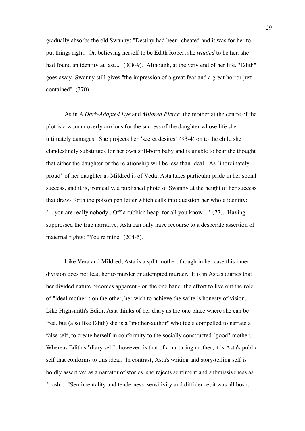gradually absorbs the old Swanny: "Destiny had been cheated and it was for her to put things right. Or, believing herself to be Edith Roper, she *wanted* to be her, she had found an identity at last..." (308-9). Although, at the very end of her life, "Edith" goes away, Swanny still gives "the impression of a great fear and a great horror just contained" (370).

As in *A Dark-Adapted Eye* and *Mildred Pierce*, the mother at the centre of the plot is a woman overly anxious for the success of the daughter whose life she ultimately damages. She projects her "secret desires" (93-4) on to the child she clandestinely substitutes for her own still-born baby and is unable to bear the thought that either the daughter or the relationship will be less than ideal. As "inordinately proud" of her daughter as Mildred is of Veda, Asta takes particular pride in her social success, and it is, ironically, a published photo of Swanny at the height of her success that draws forth the poison pen letter which calls into question her whole identity: "'...you are really nobody...Off a rubbish heap, for all you know...'" (77). Having suppressed the true narrative, Asta can only have recourse to a desperate assertion of maternal rights: "You're mine" (204-5).

Like Vera and Mildred, Asta is a split mother, though in her case this inner division does not lead her to murder or attempted murder. It is in Asta's diaries that her divided nature becomes apparent - on the one hand, the effort to live out the role of "ideal mother"; on the other, her wish to achieve the writer's honesty of vision. Like Highsmith's Edith, Asta thinks of her diary as the one place where she can be free, but (also like Edith) she is a "mother-author" who feels compelled to narrate a false self, to create herself in conformity to the socially constructed "good" mother. Whereas Edith's "diary self", however, is that of a nurturing mother, it is Asta's public self that conforms to this ideal. In contrast, Asta's writing and story-telling self is boldly assertive; as a narrator of stories, she rejects sentiment and submissiveness as "bosh": "Sentimentality and tenderness, sensitivity and diffidence, it was all bosh.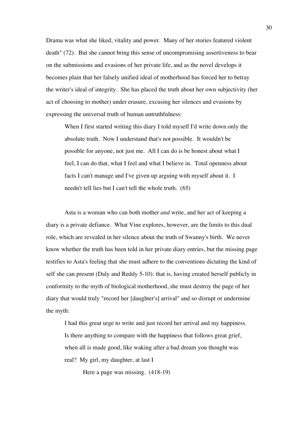Drama was what she liked, vitality and power. Many of her stories featured violent death" (72). But she cannot bring this sense of uncompromising assertiveness to bear on the submissions and evasions of her private life, and as the novel develops it becomes plain that her falsely unified ideal of motherhood has forced her to betray the writer's ideal of integrity. She has placed the truth about her own subjectivity (her act of choosing to mother) under erasure, excusing her silences and evasions by expressing the universal truth of human untruthfulness:

When I first started writing this diary I told myself I'd write down only the absolute truth. Now I understand that's not possible. It wouldn't be possible for anyone, not just me. All I can do is be honest about what I feel, I can do that, what I feel and what I believe in. Total openness about facts I can't manage and I've given up arguing with myself about it. I needn't tell lies but I can't tell the whole truth. (65)

Asta is a woman who can both mother *and* write, and her act of keeping a diary is a private defiance. What Vine explores, however, are the limits to this dual role, which are revealed in her silence about the truth of Swanny's birth. We never know whether the truth has been told in her private diary entries, but the missing page testifies to Asta's feeling that she must adhere to the conventions dictating the kind of self she can present (Daly and Reddy 5-10): that is, having created herself publicly in conformity to the myth of biological motherhood, she must destroy the page of her diary that would truly "record her [daughter's] arrival" and so disrupt or undermine the myth:

I had this great urge to write and just record her arrival and my happiness. Is there anything to compare with the happiness that follows great grief, when all is made good, like waking after a bad dream you thought was real? My girl, my daughter, at last I

Here a page was missing. (418-19)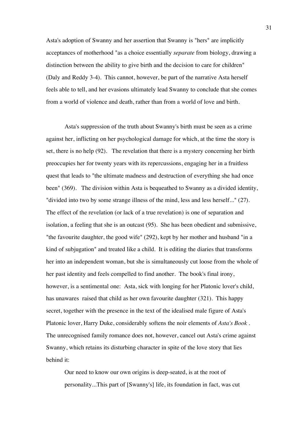Asta's adoption of Swanny and her assertion that Swanny is "hers" are implicitly acceptances of motherhood "as a choice essentially *separate* from biology, drawing a distinction between the ability to give birth and the decision to care for children" (Daly and Reddy 3-4). This cannot, however, be part of the narrative Asta herself feels able to tell, and her evasions ultimately lead Swanny to conclude that she comes from a world of violence and death, rather than from a world of love and birth.

Asta's suppression of the truth about Swanny's birth must be seen as a crime against her, inflicting on her psychological damage for which, at the time the story is set, there is no help (92). The revelation that there is a mystery concerning her birth preoccupies her for twenty years with its repercussions, engaging her in a fruitless quest that leads to "the ultimate madness and destruction of everything she had once been" (369). The division within Asta is bequeathed to Swanny as a divided identity, "divided into two by some strange illness of the mind, less and less herself..." (27). The effect of the revelation (or lack of a true revelation) is one of separation and isolation, a feeling that she is an outcast (95). She has been obedient and submissive, "the favourite daughter, the good wife" (292), kept by her mother and husband "in a kind of subjugation" and treated like a child. It is editing the diaries that transforms her into an independent woman, but she is simultaneously cut loose from the whole of her past identity and feels compelled to find another. The book's final irony, however, is a sentimental one: Asta, sick with longing for her Platonic lover's child, has unawares raised that child as her own favourite daughter (321). This happy secret, together with the presence in the text of the idealised male figure of Asta's Platonic lover, Harry Duke, considerably softens the noir elements of *Asta's Book* . The unrecognised family romance does not, however, cancel out Asta's crime against Swanny, which retains its disturbing character in spite of the love story that lies behind it:

Our need to know our own origins is deep-seated, is at the root of personality...This part of [Swanny's] life, its foundation in fact, was cut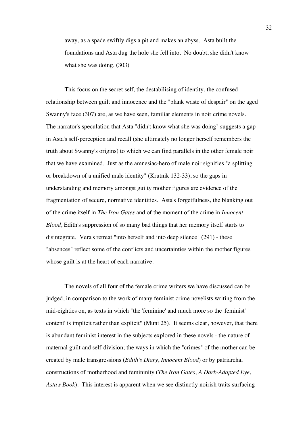away, as a spade swiftly digs a pit and makes an abyss. Asta built the foundations and Asta dug the hole she fell into. No doubt, she didn't know what she was doing. (303)

This focus on the secret self, the destabilising of identity, the confused relationship between guilt and innocence and the "blank waste of despair" on the aged Swanny's face (307) are, as we have seen, familiar elements in noir crime novels. The narrator's speculation that Asta "didn't know what she was doing" suggests a gap in Asta's self-perception and recall (she ultimately no longer herself remembers the truth about Swanny's origins) to which we can find parallels in the other female noir that we have examined. Just as the amnesiac-hero of male noir signifies "a splitting or breakdown of a unified male identity" (Krutnik 132-33), so the gaps in understanding and memory amongst guilty mother figures are evidence of the fragmentation of secure, normative identities. Asta's forgetfulness, the blanking out of the crime itself in *The Iron Gates* and of the moment of the crime in *Innocent Blood*, Edith's suppression of so many bad things that her memory itself starts to disintegrate, Vera's retreat "into herself and into deep silence" (291) - these "absences" reflect some of the conflicts and uncertainties within the mother figures whose guilt is at the heart of each narrative.

The novels of all four of the female crime writers we have discussed can be judged, in comparison to the work of many feminist crime novelists writing from the mid-eighties on, as texts in which "the 'feminine' and much more so the 'feminist' content' is implicit rather than explicit" (Munt 25). It seems clear, however, that there is abundant feminist interest in the subjects explored in these novels - the nature of maternal guilt and self-division; the ways in which the "crimes" of the mother can be created by male transgressions (*Edith's Diary*, *Innocent Blood*) or by patriarchal constructions of motherhood and femininity (*The Iron Gates*, *A Dark-Adapted Eye*, *Asta's Book*). This interest is apparent when we see distinctly noirish traits surfacing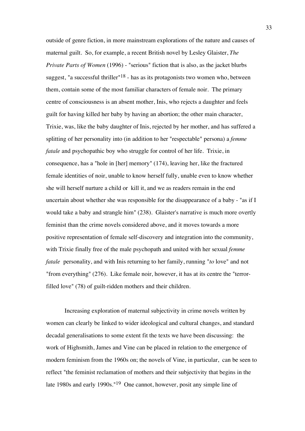outside of genre fiction, in more mainstream explorations of the nature and causes of maternal guilt. So, for example, a recent British novel by Lesley Glaister, *The Private Parts of Women* (1996) - "serious" fiction that is also, as the jacket blurbs suggest, "a successful thriller"<sup>18</sup> - has as its protagonists two women who, between them, contain some of the most familiar characters of female noir. The primary centre of consciousness is an absent mother, Inis, who rejects a daughter and feels guilt for having killed her baby by having an abortion; the other main character, Trixie, was, like the baby daughter of Inis, rejected by her mother, and has suffered a splitting of her personality into (in addition to her "respectable" persona) a *femme fatale* and psychopathic boy who struggle for control of her life. Trixie, in consequence, has a "hole in [her] memory" (174), leaving her, like the fractured female identities of noir, unable to know herself fully, unable even to know whether she will herself nurture a child or kill it, and we as readers remain in the end uncertain about whether she was responsible for the disappearance of a baby - "as if I would take a baby and strangle him" (238). Glaister's narrative is much more overtly feminist than the crime novels considered above, and it moves towards a more positive representation of female self-discovery and integration into the community, with Trixie finally free of the male psychopath and united with her sexual *femme fatale* personality, and with Inis returning to her family, running "*to* love" and not "from everything" (276). Like female noir, however, it has at its centre the "terrorfilled love" (78) of guilt-ridden mothers and their children.

Increasing exploration of maternal subjectivity in crime novels written by women can clearly be linked to wider ideological and cultural changes, and standard decadal generalisations to some extent fit the texts we have been discussing: the work of Highsmith, James and Vine can be placed in relation to the emergence of modern feminism from the 1960s on; the novels of Vine, in particular, can be seen to reflect "the feminist reclamation of mothers and their subjectivity that begins in the late 1980s and early 1990s."19 One cannot, however, posit any simple line of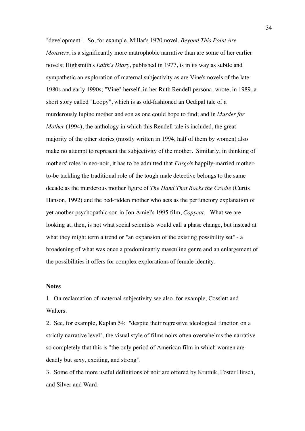"development". So, for example, Millar's 1970 novel, *Beyond This Point Are Monsters*, is a significantly more matrophobic narrative than are some of her earlier novels; Highsmith's *Edith's Diary*, published in 1977, is in its way as subtle and sympathetic an exploration of maternal subjectivity as are Vine's novels of the late 1980s and early 1990s; "Vine" herself, in her Ruth Rendell persona, wrote, in 1989, a short story called "Loopy", which is as old-fashioned an Oedipal tale of a murderously lupine mother and son as one could hope to find; and in *Murder for Mother* (1994), the anthology in which this Rendell tale is included, the great majority of the other stories (mostly written in 1994, half of them by women) also make no attempt to represent the subjectivity of the mother. Similarly, in thinking of mothers' roles in neo-noir, it has to be admitted that *Fargo*'s happily-married motherto-be tackling the traditional role of the tough male detective belongs to the same decade as the murderous mother figure of *The Hand That Rocks the Cradle* (Curtis Hanson, 1992) and the bed-ridden mother who acts as the perfunctory explanation of yet another psychopathic son in Jon Amiel's 1995 film, *Copycat*. What we are looking at, then, is not what social scientists would call a phase change, but instead at what they might term a trend or "an expansion of the existing possibility set" - a broadening of what was once a predominantly masculine genre and an enlargement of the possibilities it offers for complex explorations of female identity.

### **Notes**

1. On reclamation of maternal subjectivity see also, for example, Cosslett and Walters.

2. See, for example, Kaplan 54: "despite their regressive ideological function on a strictly narrative level", the visual style of films noirs often overwhelms the narrative so completely that this is "the only period of American film in which women are deadly but sexy, exciting, and strong".

3. Some of the more useful definitions of noir are offered by Krutnik, Foster Hirsch, and Silver and Ward.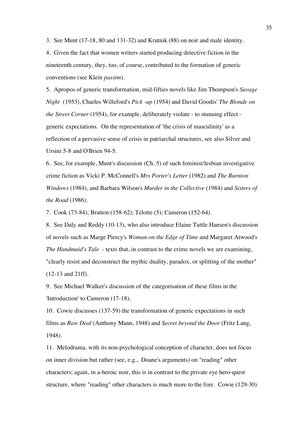3. See Munt (17-18, 80 and 131-32) and Krutnik (88) on noir and male identity.

4. Given the fact that women writers started producing detective fiction in the nineteenth century, they, too, of course, contributed to the formation of generic conventions (see Klein *passim*).

5. Apropos of generic transformation, mid-fifties novels like Jim Thompson's *Savage Night* (1953), Charles Willeford's *Pick -up* (1954) and David Goodis' *The Blonde on the Street Corner* (1954), for example, deliberately violate - to stunning effect generic expectations. On the representation of 'the crisis of masculinity' as a reflection of a pervasive sense of crisis in patriarchal structures, see also Silver and Ursini 5-8 and O'Brien 94-5.

6. See, for example, Munt's discussion (Ch. 5) of such feminist/lesbian investigative crime fiction as Vicki P. McConnell's *Mrs Porter's Letter* (1982) and *The Burnton Windows* (1984), and Barbara Wilson's *Murder in the Collective* (1984) and *Sisters of the Road* (1986).

7. Cook (73-84); Bratton (158-62); Telotte (5); Cameron (152-64).

8. See Daly and Reddy (10-13), who also introduce Elaine Tuttle Hansen's discussion of novels such as Marge Piercy's *Woman on the Edge of Time* and Margaret Atwood's *The Handmaid's Tale* - texts that, in contrast to the crime novels we are examining, "clearly resist and deconstruct the mythic duality, paradox, or splitting of the mother" (12-13 and 21ff).

9. See Michael Walker's discussion of the categorisation of these films in the 'Introduction' to Cameron (17-18).

10. Cowie discusses (137-59) the transformation of generic expectations in such films as *Raw Deal* (Anthony Mann, 1948) and *Secret beyond the Door* (Fritz Lang, 1948).

11. Melodrama, with its non-psychological conception of character, does not focus on inner division but rather (see, e.g., Doane's arguments) on "reading" other characters; again, in a-heroic noir, this is in contrast to the private eye hero-quest structure, where "reading" other characters is much more to the fore. Cowie (129-30)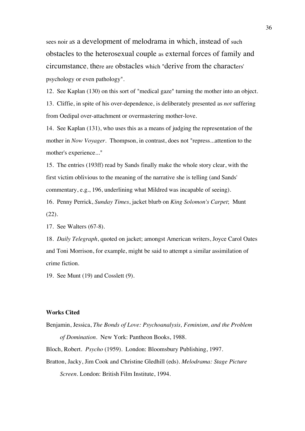sees noir as a development of melodrama in which, instead of such obstacles to the heterosexual couple as external forces of family and circumstance, there are obstacles which "derive from the characters' psychology or even pathology".

12. See Kaplan (130) on this sort of "medical gaze" turning the mother into an object.

13. Cliffie, in spite of his over-dependence, is deliberately presented as *not* suffering from Oedipal over-attachment or overmastering mother-love.

14. See Kaplan (131), who uses this as a means of judging the representation of the mother in *Now Voyager*. Thompson, in contrast, does not "repress...attention to the mother's experience..."

15. The entries (193ff) read by Sands finally make the whole story clear, with the first victim oblivious to the meaning of the narrative she is telling (and Sands' commentary, e.g., 196, underlining what Mildred was incapable of seeing).

16. Penny Perrick, *Sunday Times*, jacket blurb on *King Solomon's Carpet*; Munt (22).

17. See Walters (67-8).

18. *Daily Telegraph*, quoted on jacket; amongst American writers, Joyce Carol Oates and Toni Morrison, for example, might be said to attempt a similar assimilation of crime fiction.

19. See Munt (19) and Cosslett (9).

## **Works Cited**

Benjamin, Jessica, *The Bonds of Love: Psychoanalysis, Feminism, and the Problem of Domination*. New York: Pantheon Books, 1988.

Bloch, Robert. *Psycho* (1959). London: Bloomsbury Publishing, 1997.

Bratton, Jacky, Jim Cook and Christine Gledhill (eds). *Melodrama: Stage Picture Screen*. London: British Film Institute, 1994.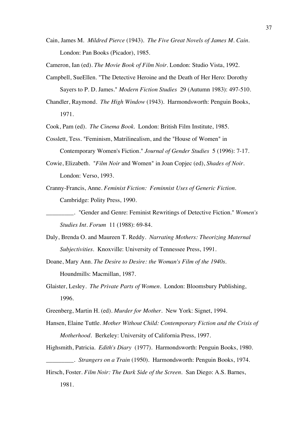Cain, James M. *Mildred Pierce* (1943). *The Five Great Novels of James M. Cain*. London: Pan Books (Picador), 1985.

Cameron, Ian (ed). *The Movie Book of Film Noir*. London: Studio Vista, 1992.

Campbell, SueEllen. "The Detective Heroine and the Death of Her Hero: Dorothy Sayers to P. D. James." *Modern Fiction Studies* 29 (Autumn 1983): 497-510.

Chandler, Raymond. *The High Window* (1943). Harmondsworth: Penguin Books, 1971.

Cook, Pam (ed). *The Cinema Book*. London: British Film Institute, 1985.

- Cosslett, Tess. "Feminism, Matrilinealism, and the "House of Women" in Contemporary Women's Fiction." *Journal of Gender Studies* 5 (1996): 7-17.
- Cowie, Elizabeth. "*Film Noir* and Women" in Joan Copjec (ed), *Shades of Noir*. London: Verso, 1993.
- Cranny-Francis, Anne. *Feminist Fiction: Feminnist Uses of Generic Fiction*. Cambridge: Polity Press, 1990.
	- \_\_\_\_\_\_\_\_\_. "Gender and Genre: Feminist Rewritings of Detective Fiction." *Women's Studies Int. Forum* 11 (1988): 69-84.
- Daly, Brenda O. and Maureen T. Reddy. *Narrating Mothers: Theorizing Maternal Subjectivities*. Knoxville: University of Tennessee Press, 1991.
- Doane, Mary Ann. *The Desire to Desire: the Woman's Film of the 1940s*. Houndmills: Macmillan, 1987.
- Glaister, Lesley. *The Private Parts of Women.* London: Bloomsbury Publishing, 1996.
- Greenberg, Martin H. (ed). *Murder for Mother*. New York: Signet, 1994.
- Hansen, Elaine Tuttle. *Mother Without Child: Contemporary Fiction and the Crisis of Motherhood*. Berkeley: University of California Press, 1997.
- Highsmith, Patricia. *Edith's Diary* (1977). Harmondsworth: Penguin Books, 1980. \_\_\_\_\_\_\_\_\_. *Strangers on a Train* (1950). Harmondsworth: Penguin Books, 1974.
- Hirsch, Foster. *Film Noir: The Dark Side of the Screen*. San Diego: A.S. Barnes, 1981.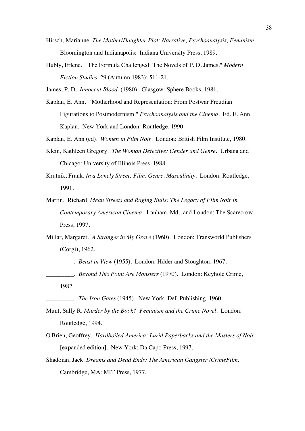- Hirsch, Marianne. *The Mother/Daughter Plot: Narrative, Psychoanalysis, Feminism*. Bloomington and Indianapolis: Indiana University Press, 1989.
- Hubly, Erlene. "The Formula Challenged: The Novels of P. D. James." *Modern Fiction Studies* 29 (Autumn 1983): 511-21.

James, P. D. *Innocent Blood* (1980). Glasgow: Sphere Books, 1981.

Kaplan, E. Ann. "Motherhood and Representation: From Postwar Freudian Figurations to Postmodernism." *Psychoanalysis and the Cinema.* Ed. E. Ann Kaplan. New York and London: Routledge, 1990.

Kaplan, E. Ann (ed). *Women in Film Noir*. London: British Film Institute, 1980.

- Klein, Kathleen Gregory. *The Woman Detective: Gender and Genre*. Urbana and Chicago: University of Illinois Press, 1988.
- Krutnik, Frank. *In a Lonely Street: Film, Genre, Masculinity*. London: Routledge, 1991.
- Martin, Richard. *Mean Streets and Raging Bulls: The Legacy of FIlm Noir in Contemporary American Cinema*. Lanham, Md., and London: The Scarecrow Press, 1997.
- Millar, Margaret. *A Stranger in My Grave* (1960). London: Transworld Publishers (Corgi), 1962.
- \_\_\_\_\_\_\_\_\_. *Beast in View* (1955). London: Hdder and Stoughton, 1967.
- \_\_\_\_\_\_\_\_\_. *Beyond This Point Are Monsters* (1970). London: Keyhole Crime, 1982.
- \_\_\_\_\_\_\_\_\_. *The Iron Gates* (1945). New York: Dell Publishing, 1960.
- Munt, Sally R. *Murder by the Book? Feminism and the Crime Novel*. London: Routledge, 1994.
- O'Brien, Geoffrey. *Hardboiled America: Lurid Paperbacks and the Masters of Noir*  [expanded edition]*.* New York: Da Capo Press, 1997.
- Shadoian, Jack. *Dreams and Dead Ends: The American Gangster /CrimeFilm*. Cambridge, MA: MIT Press, 1977.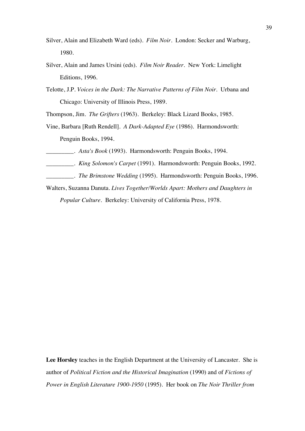- Silver, Alain and Elizabeth Ward (eds). *Film Noir*. London: Secker and Warburg, 1980.
- Silver, Alain and James Ursini (eds). *Film Noir Reader*. New York: Limelight Editions, 1996.
- Telotte, J.P. *Voices in the Dark: The Narrative Patterns of Film Noir*. Urbana and Chicago: University of Illinois Press, 1989.

Thompson, Jim. *The Grifters* (1963). Berkeley: Black Lizard Books, 1985.

- Vine, Barbara [Ruth Rendell]. *A Dark-Adapted Eye* (1986). Harmondsworth: Penguin Books, 1994.
- \_\_\_\_\_\_\_\_\_. *Asta's Book* (1993). Harmondsworth: Penguin Books, 1994.
- \_\_\_\_\_\_\_\_\_. *King Solomon's Carpet* (1991). Harmondsworth: Penguin Books, 1992.
- \_\_\_\_\_\_\_\_\_. *The Brimstone Wedding* (1995). Harmondsworth: Penguin Books, 1996.
- Walters, Suzanna Danuta. *Lives Together/Worlds Apart: Mothers and Daughters in Popular Culture*. Berkeley: University of California Press, 1978.

**Lee Horsley** teaches in the English Department at the University of Lancaster. She is author of *Political Fiction and the Historical Imagination* (1990) and of *Fictions of Power in English Literature 1900-1950* (1995). Her book on *The Noir Thriller from*